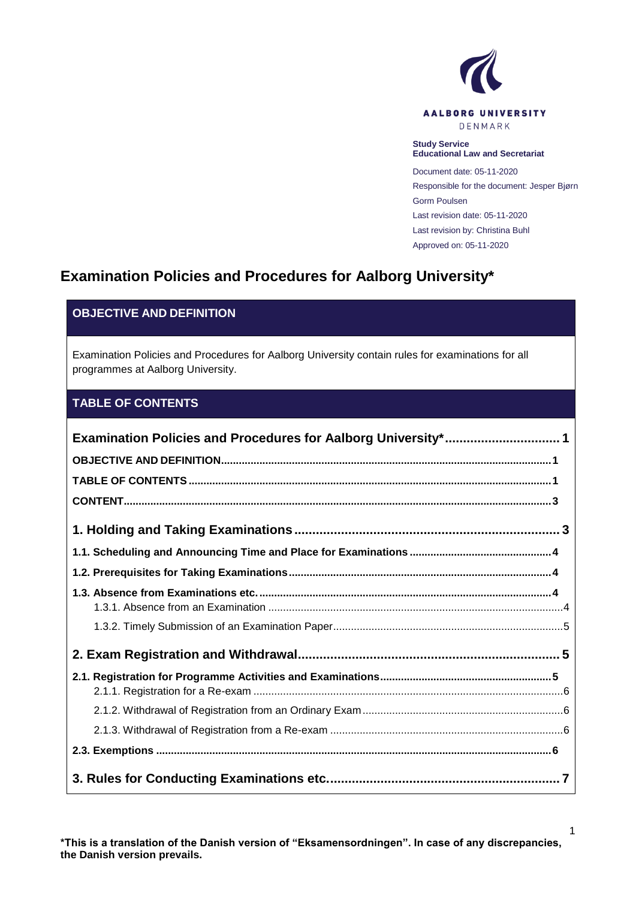

#### **Study Service Educational Law and Secretariat**

Document date: 05-11-2020 Responsible for the document: Jesper Bjørn Gorm Poulsen Last revision date: 05-11-2020 Last revision by: Christina Buhl Approved on: 05-11-2020

# <span id="page-0-0"></span>**Examination Policies and Procedures for Aalborg University\***

## <span id="page-0-1"></span>**OBJECTIVE AND DEFINITION**

Examination Policies and Procedures for Aalborg University contain rules for examinations for all programmes at Aalborg University.

### <span id="page-0-2"></span>**TABLE OF CONTENTS**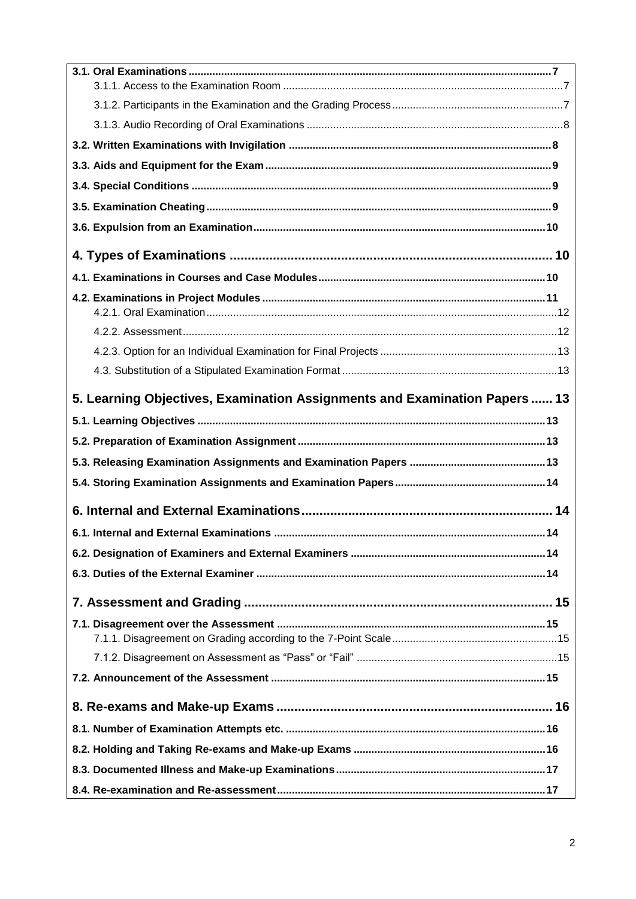| 5. Learning Objectives, Examination Assignments and Examination Papers  13 |  |
|----------------------------------------------------------------------------|--|
|                                                                            |  |
|                                                                            |  |
|                                                                            |  |
|                                                                            |  |
|                                                                            |  |
|                                                                            |  |
|                                                                            |  |
|                                                                            |  |
|                                                                            |  |
|                                                                            |  |
|                                                                            |  |
|                                                                            |  |
|                                                                            |  |
|                                                                            |  |
|                                                                            |  |
|                                                                            |  |
|                                                                            |  |
|                                                                            |  |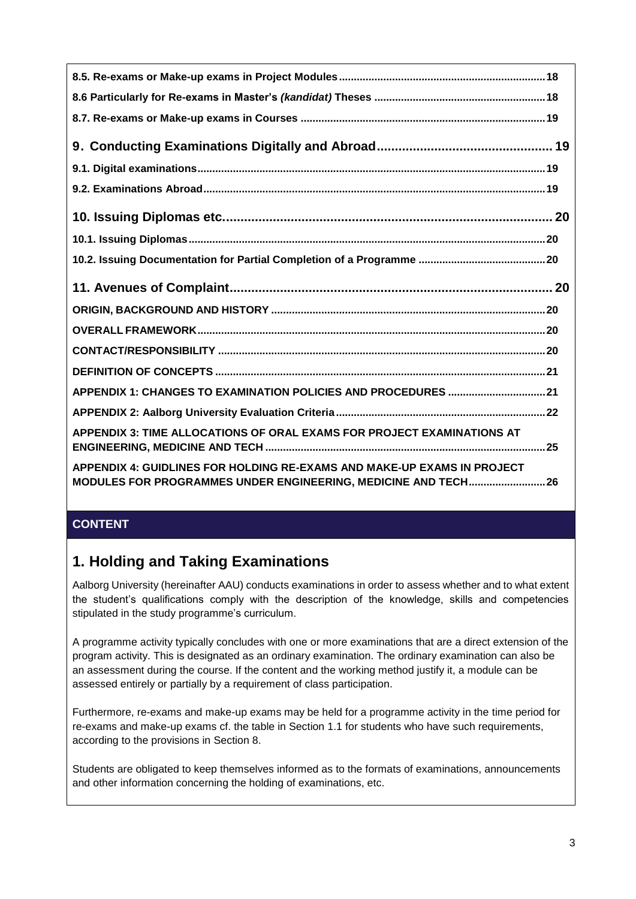| APPENDIX 1: CHANGES TO EXAMINATION POLICIES AND PROCEDURES  21         |
|------------------------------------------------------------------------|
|                                                                        |
| APPENDIX 3: TIME ALLOCATIONS OF ORAL EXAMS FOR PROJECT EXAMINATIONS AT |

## <span id="page-2-0"></span>**CONTENT**

## <span id="page-2-1"></span>**1. Holding and Taking Examinations**

Aalborg University (hereinafter AAU) conducts examinations in order to assess whether and to what extent the student's qualifications comply with the description of the knowledge, skills and competencies stipulated in the study programme's curriculum.

A programme activity typically concludes with one or more examinations that are a direct extension of the program activity. This is designated as an ordinary examination. The ordinary examination can also be an assessment during the course. If the content and the working method justify it, a module can be assessed entirely or partially by a requirement of class participation.

Furthermore, re-exams and make-up exams may be held for a programme activity in the time period for re-exams and make-up exams cf. the table in Section 1.1 for students who have such requirements, according to the provisions in Section 8.

Students are obligated to keep themselves informed as to the formats of examinations, announcements and other information concerning the holding of examinations, etc.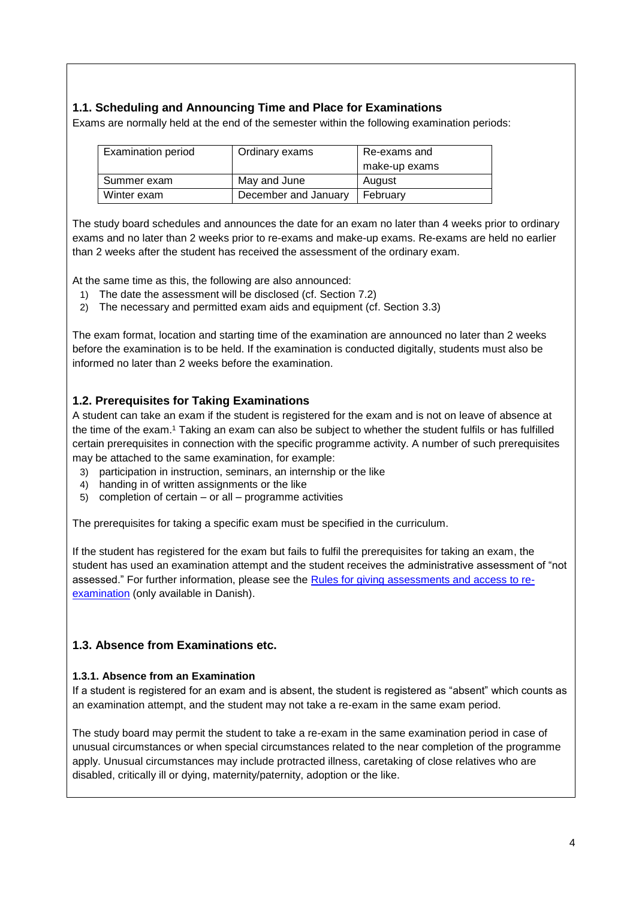### <span id="page-3-0"></span>**1.1. Scheduling and Announcing Time and Place for Examinations**

Exams are normally held at the end of the semester within the following examination periods:

| Examination period | Ordinary exams       | Re-exams and  |
|--------------------|----------------------|---------------|
|                    |                      | make-up exams |
| Summer exam        | May and June         | August        |
| Winter exam        | December and January | February      |

The study board schedules and announces the date for an exam no later than 4 weeks prior to ordinary exams and no later than 2 weeks prior to re-exams and make-up exams. Re-exams are held no earlier than 2 weeks after the student has received the assessment of the ordinary exam.

At the same time as this, the following are also announced:

- 1) The date the assessment will be disclosed (cf. Section 7.2)
- 2) The necessary and permitted exam aids and equipment (cf. Section 3.3)

The exam format, location and starting time of the examination are announced no later than 2 weeks before the examination is to be held. If the examination is conducted digitally, students must also be informed no later than 2 weeks before the examination.

### <span id="page-3-1"></span>**1.2. Prerequisites for Taking Examinations**

A student can take an exam if the student is registered for the exam and is not on leave of absence at the time of the exam.<sup>1</sup> Taking an exam can also be subject to whether the student fulfils or has fulfilled certain prerequisites in connection with the specific programme activity. A number of such prerequisites may be attached to the same examination, for example:

- 3) participation in instruction, seminars, an internship or the like
- 4) handing in of written assignments or the like
- 5) completion of certain or all programme activities

The prerequisites for taking a specific exam must be specified in the curriculum.

If the student has registered for the exam but fails to fulfil the prerequisites for taking an exam, the student has used an examination attempt and the student receives the administrative assessment of "not assessed." For further information, please see the [Rules for giving assessments and access to re](https://www.haandbog.aau.dk/dokument?contentId=347766)[examination](https://www.haandbog.aau.dk/dokument?contentId=347766) (only available in Danish).

### <span id="page-3-2"></span>**1.3. Absence from Examinations etc.**

#### <span id="page-3-3"></span>**1.3.1. Absence from an Examination**

If a student is registered for an exam and is absent, the student is registered as "absent" which counts as an examination attempt, and the student may not take a re-exam in the same exam period.

The study board may permit the student to take a re-exam in the same examination period in case of unusual circumstances or when special circumstances related to the near completion of the programme apply. Unusual circumstances may include protracted illness, caretaking of close relatives who are disabled, critically ill or dying, maternity/paternity, adoption or the like.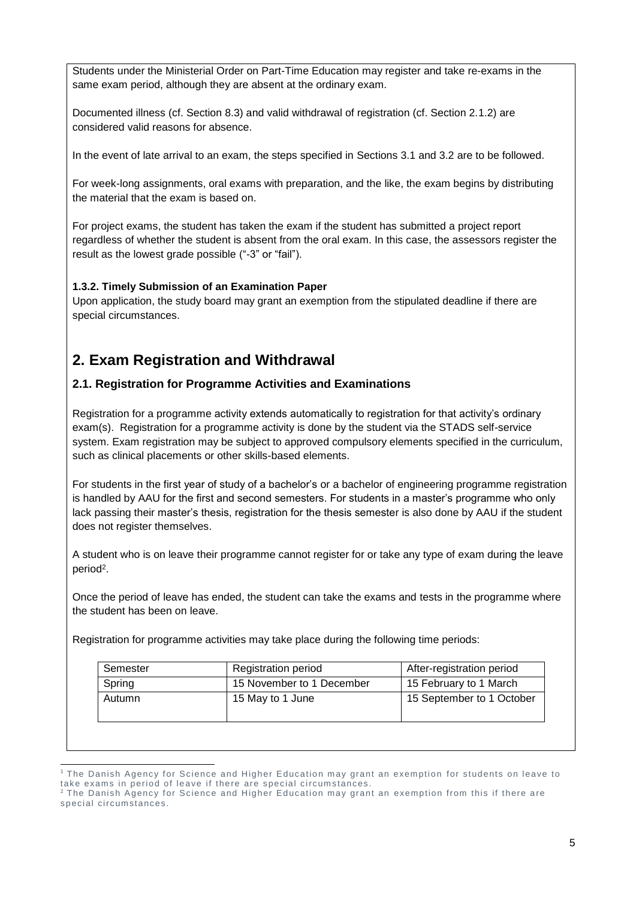Students under the Ministerial Order on Part-Time Education may register and take re-exams in the same exam period, although they are absent at the ordinary exam.

Documented illness (cf. Section 8.3) and valid withdrawal of registration (cf. Section 2.1.2) are considered valid reasons for absence.

In the event of late arrival to an exam, the steps specified in Sections 3.1 and 3.2 are to be followed.

For week-long assignments, oral exams with preparation, and the like, the exam begins by distributing the material that the exam is based on.

For project exams, the student has taken the exam if the student has submitted a project report regardless of whether the student is absent from the oral exam. In this case, the assessors register the result as the lowest grade possible ("-3" or "fail").

### <span id="page-4-0"></span>**1.3.2. Timely Submission of an Examination Paper**

Upon application, the study board may grant an exemption from the stipulated deadline if there are special circumstances.

# <span id="page-4-1"></span>**2. Exam Registration and Withdrawal**

### <span id="page-4-2"></span>**2.1. Registration for Programme Activities and Examinations**

Registration for a programme activity extends automatically to registration for that activity's ordinary exam(s). Registration for a programme activity is done by the student via the STADS self-service system. Exam registration may be subject to approved compulsory elements specified in the curriculum, such as clinical placements or other skills-based elements.

For students in the first year of study of a bachelor's or a bachelor of engineering programme registration is handled by AAU for the first and second semesters. For students in a master's programme who only lack passing their master's thesis, registration for the thesis semester is also done by AAU if the student does not register themselves.

A student who is on leave their programme cannot register for or take any type of exam during the leave period<sup>2</sup> .

Once the period of leave has ended, the student can take the exams and tests in the programme where the student has been on leave.

Registration for programme activities may take place during the following time periods:

| Semester | <b>Registration period</b> | After-registration period |
|----------|----------------------------|---------------------------|
| Spring   | 15 November to 1 December  | 15 February to 1 March    |
| Autumn   | 15 May to 1 June           | 15 September to 1 October |

<sup>1</sup>  $1$  The Danish Agency for Science and Higher Education may grant an exemption for students on leave to take exams in period of leave if there are special circumstances.

 $2$  The Danish Agency for Science and Higher Education may grant an exemption from this if there are special circumstances.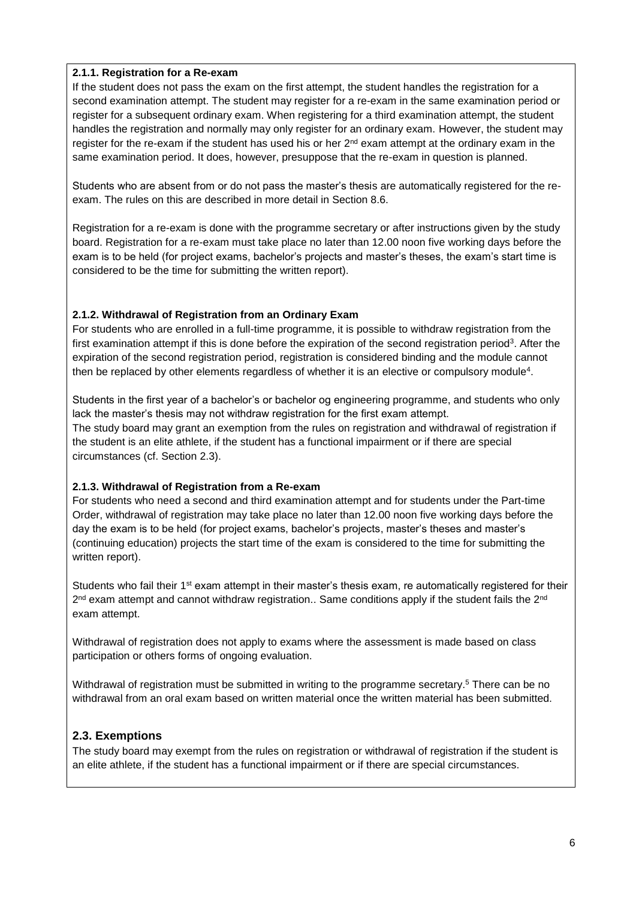### <span id="page-5-0"></span>**2.1.1. Registration for a Re-exam**

If the student does not pass the exam on the first attempt, the student handles the registration for a second examination attempt. The student may register for a re-exam in the same examination period or register for a subsequent ordinary exam. When registering for a third examination attempt, the student handles the registration and normally may only register for an ordinary exam. However, the student may register for the re-exam if the student has used his or her  $2<sup>nd</sup>$  exam attempt at the ordinary exam in the same examination period. It does, however, presuppose that the re-exam in question is planned.

Students who are absent from or do not pass the master's thesis are automatically registered for the reexam. The rules on this are described in more detail in Section 8.6.

Registration for a re-exam is done with the programme secretary or after instructions given by the study board. Registration for a re-exam must take place no later than 12.00 noon five working days before the exam is to be held (for project exams, bachelor's projects and master's theses, the exam's start time is considered to be the time for submitting the written report).

### <span id="page-5-1"></span>**2.1.2. Withdrawal of Registration from an Ordinary Exam**

For students who are enrolled in a full-time programme, it is possible to withdraw registration from the first examination attempt if this is done before the expiration of the second registration period<sup>3</sup>. After the expiration of the second registration period, registration is considered binding and the module cannot then be replaced by other elements regardless of whether it is an elective or compulsory module<sup>4</sup>.

Students in the first year of a bachelor's or bachelor og engineering programme, and students who only lack the master's thesis may not withdraw registration for the first exam attempt. The study board may grant an exemption from the rules on registration and withdrawal of registration if the student is an elite athlete, if the student has a functional impairment or if there are special circumstances (cf. Section 2.3).

### <span id="page-5-2"></span>**2.1.3. Withdrawal of Registration from a Re-exam**

For students who need a second and third examination attempt and for students under the Part-time Order, withdrawal of registration may take place no later than 12.00 noon five working days before the day the exam is to be held (for project exams, bachelor's projects, master's theses and master's (continuing education) projects the start time of the exam is considered to the time for submitting the written report).

Students who fail their 1<sup>st</sup> exam attempt in their master's thesis exam, re automatically registered for their  $2^{nd}$  exam attempt and cannot withdraw registration.. Same conditions apply if the student fails the  $2^{nd}$ exam attempt.

Withdrawal of registration does not apply to exams where the assessment is made based on class participation or others forms of ongoing evaluation.

Withdrawal of registration must be submitted in writing to the programme secretary.<sup>5</sup> There can be no withdrawal from an oral exam based on written material once the written material has been submitted.

### <span id="page-5-3"></span>**2.3. Exemptions**

The study board may exempt from the rules on registration or withdrawal of registration if the student is an elite athlete, if the student has a functional impairment or if there are special circumstances.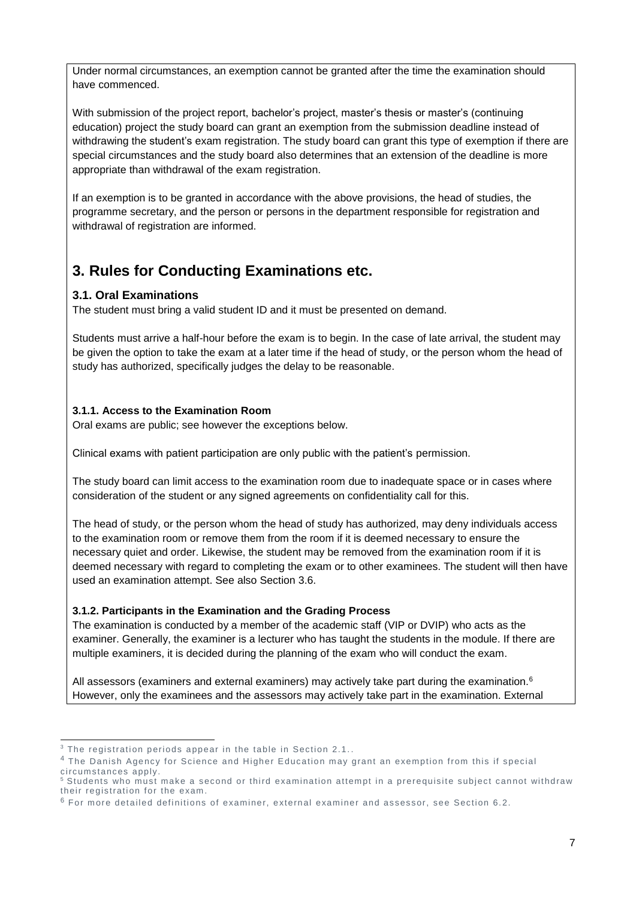Under normal circumstances, an exemption cannot be granted after the time the examination should have commenced.

With submission of the project report, bachelor's project, master's thesis or master's (continuing education) project the study board can grant an exemption from the submission deadline instead of withdrawing the student's exam registration. The study board can grant this type of exemption if there are special circumstances and the study board also determines that an extension of the deadline is more appropriate than withdrawal of the exam registration.

If an exemption is to be granted in accordance with the above provisions, the head of studies, the programme secretary, and the person or persons in the department responsible for registration and withdrawal of registration are informed.

# <span id="page-6-0"></span>**3. Rules for Conducting Examinations etc.**

## <span id="page-6-1"></span>**3.1. Oral Examinations**

The student must bring a valid student ID and it must be presented on demand.

Students must arrive a half-hour before the exam is to begin. In the case of late arrival, the student may be given the option to take the exam at a later time if the head of study, or the person whom the head of study has authorized, specifically judges the delay to be reasonable.

### <span id="page-6-2"></span>**3.1.1. Access to the Examination Room**

Oral exams are public; see however the exceptions below.

Clinical exams with patient participation are only public with the patient's permission.

The study board can limit access to the examination room due to inadequate space or in cases where consideration of the student or any signed agreements on confidentiality call for this.

The head of study, or the person whom the head of study has authorized, may deny individuals access to the examination room or remove them from the room if it is deemed necessary to ensure the necessary quiet and order. Likewise, the student may be removed from the examination room if it is deemed necessary with regard to completing the exam or to other examinees. The student will then have used an examination attempt. See also Section 3.6.

### <span id="page-6-3"></span>**3.1.2. Participants in the Examination and the Grading Process**

The examination is conducted by a member of the academic staff (VIP or DVIP) who acts as the examiner. Generally, the examiner is a lecturer who has taught the students in the module. If there are multiple examiners, it is decided during the planning of the exam who will conduct the exam.

All assessors (examiners and external examiners) may actively take part during the examination. $6$ However, only the examinees and the assessors may actively take part in the examination. External

<sup>1</sup>  $3$  The registration periods appear in the table in Section 2.1..

<sup>4</sup> The Danish Agency for Science and Higher Education may grant an exemption from this if special circumstances apply.

<sup>&</sup>lt;sup>5</sup> Students who must make a second or third examination attempt in a prerequisite subject cannot withdraw their registration for the exam.

 $6$  For more detailed definitions of examiner, external examiner and assessor, see Section 6.2.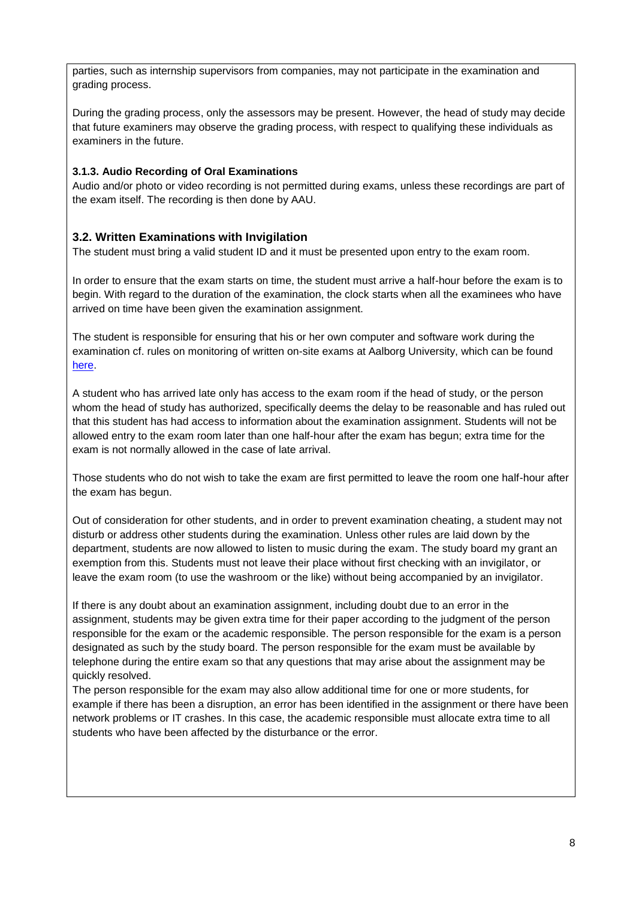parties, such as internship supervisors from companies, may not participate in the examination and grading process.

During the grading process, only the assessors may be present. However, the head of study may decide that future examiners may observe the grading process, with respect to qualifying these individuals as examiners in the future.

### <span id="page-7-0"></span>**3.1.3. Audio Recording of Oral Examinations**

Audio and/or photo or video recording is not permitted during exams, unless these recordings are part of the exam itself. The recording is then done by AAU.

## <span id="page-7-1"></span>**3.2. Written Examinations with Invigilation**

The student must bring a valid student ID and it must be presented upon entry to the exam room.

In order to ensure that the exam starts on time, the student must arrive a half-hour before the exam is to begin. With regard to the duration of the examination, the clock starts when all the examinees who have arrived on time have been given the examination assignment.

The student is responsible for ensuring that his or her own computer and software work during the examination cf. rules on monitoring of written on-site exams at Aalborg University, which can be found [here.](https://www.handbook.aau.dk/document?contentId=347761)

A student who has arrived late only has access to the exam room if the head of study, or the person whom the head of study has authorized, specifically deems the delay to be reasonable and has ruled out that this student has had access to information about the examination assignment. Students will not be allowed entry to the exam room later than one half-hour after the exam has begun; extra time for the exam is not normally allowed in the case of late arrival.

Those students who do not wish to take the exam are first permitted to leave the room one half-hour after the exam has begun.

Out of consideration for other students, and in order to prevent examination cheating, a student may not disturb or address other students during the examination. Unless other rules are laid down by the department, students are now allowed to listen to music during the exam. The study board my grant an exemption from this. Students must not leave their place without first checking with an invigilator, or leave the exam room (to use the washroom or the like) without being accompanied by an invigilator.

If there is any doubt about an examination assignment, including doubt due to an error in the assignment, students may be given extra time for their paper according to the judgment of the person responsible for the exam or the academic responsible. The person responsible for the exam is a person designated as such by the study board. The person responsible for the exam must be available by telephone during the entire exam so that any questions that may arise about the assignment may be quickly resolved.

The person responsible for the exam may also allow additional time for one or more students, for example if there has been a disruption, an error has been identified in the assignment or there have been network problems or IT crashes. In this case, the academic responsible must allocate extra time to all students who have been affected by the disturbance or the error.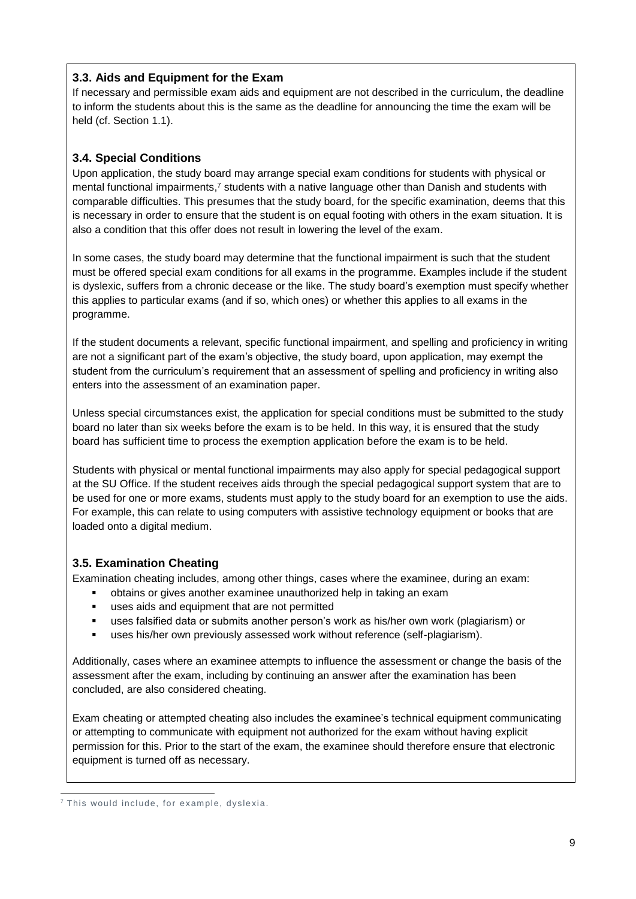## <span id="page-8-0"></span>**3.3. Aids and Equipment for the Exam**

If necessary and permissible exam aids and equipment are not described in the curriculum, the deadline to inform the students about this is the same as the deadline for announcing the time the exam will be held (cf. Section 1.1).

## <span id="page-8-1"></span>**3.4. Special Conditions**

Upon application, the study board may arrange special exam conditions for students with physical or mental functional impairments,<sup>7</sup> students with a native language other than Danish and students with comparable difficulties. This presumes that the study board, for the specific examination, deems that this is necessary in order to ensure that the student is on equal footing with others in the exam situation. It is also a condition that this offer does not result in lowering the level of the exam.

In some cases, the study board may determine that the functional impairment is such that the student must be offered special exam conditions for all exams in the programme. Examples include if the student is dyslexic, suffers from a chronic decease or the like. The study board's exemption must specify whether this applies to particular exams (and if so, which ones) or whether this applies to all exams in the programme.

If the student documents a relevant, specific functional impairment, and spelling and proficiency in writing are not a significant part of the exam's objective, the study board, upon application, may exempt the student from the curriculum's requirement that an assessment of spelling and proficiency in writing also enters into the assessment of an examination paper.

Unless special circumstances exist, the application for special conditions must be submitted to the study board no later than six weeks before the exam is to be held. In this way, it is ensured that the study board has sufficient time to process the exemption application before the exam is to be held.

Students with physical or mental functional impairments may also apply for special pedagogical support at the SU Office. If the student receives aids through the special pedagogical support system that are to be used for one or more exams, students must apply to the study board for an exemption to use the aids. For example, this can relate to using computers with assistive technology equipment or books that are loaded onto a digital medium.

### <span id="page-8-2"></span>**3.5. Examination Cheating**

Examination cheating includes, among other things, cases where the examinee, during an exam:

- obtains or gives another examinee unauthorized help in taking an exam
- uses aids and equipment that are not permitted
- uses falsified data or submits another person's work as his/her own work (plagiarism) or
- uses his/her own previously assessed work without reference (self-plagiarism).

Additionally, cases where an examinee attempts to influence the assessment or change the basis of the assessment after the exam, including by continuing an answer after the examination has been concluded, are also considered cheating.

Exam cheating or attempted cheating also includes the examinee's technical equipment communicating or attempting to communicate with equipment not authorized for the exam without having explicit permission for this. Prior to the start of the exam, the examinee should therefore ensure that electronic equipment is turned off as necessary.

<sup>-</sup> $7$  This would include, for example, dyslexia.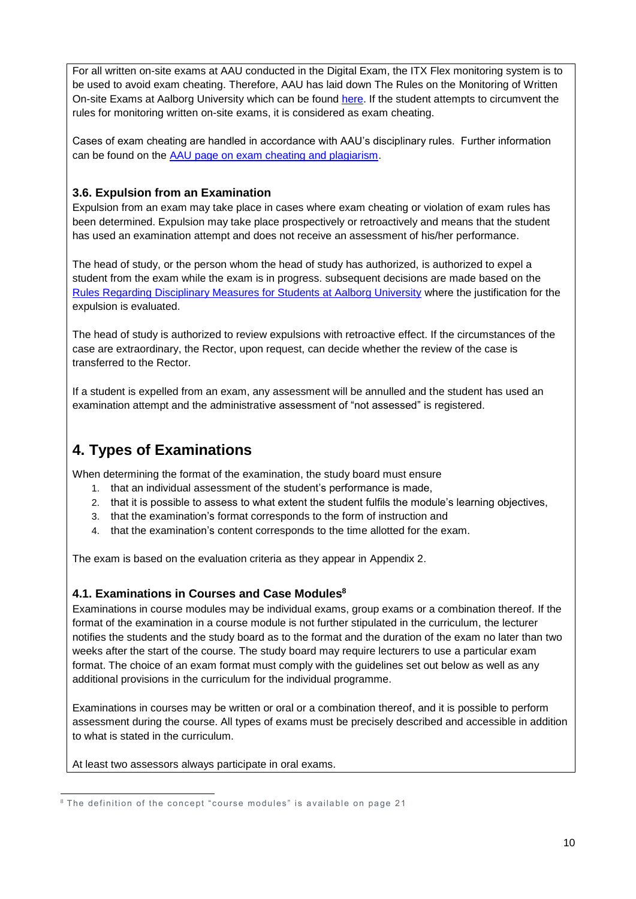For all written on-site exams at AAU conducted in the Digital Exam, the ITX Flex monitoring system is to be used to avoid exam cheating. Therefore, AAU has laid down The Rules on the Monitoring of Written On-site Exams at Aalborg University which can be found [here.](https://www.handbook.aau.dk/document?contentId=347761) If the student attempts to circumvent the rules for monitoring written on-site exams, it is considered as exam cheating.

Cases of exam cheating are handled in accordance with AAU's disciplinary rules. Further information can be found on the [AAU page on exam cheating and plagiarism.](https://www.aau.dk/uddannelser/studievejledning/regler/plagiat)

### <span id="page-9-0"></span>**3.6. Expulsion from an Examination**

Expulsion from an exam may take place in cases where exam cheating or violation of exam rules has been determined. Expulsion may take place prospectively or retroactively and means that the student has used an examination attempt and does not receive an assessment of his/her performance.

The head of study, or the person whom the head of study has authorized, is authorized to expel a student from the exam while the exam is in progress. subsequent decisions are made based on the [Rules Regarding Disciplinary Measures for Students at Aalborg University](https://www.haandbog.aau.dk/dokument/?contentId=349579) where the justification for the expulsion is evaluated.

The head of study is authorized to review expulsions with retroactive effect. If the circumstances of the case are extraordinary, the Rector, upon request, can decide whether the review of the case is transferred to the Rector.

If a student is expelled from an exam, any assessment will be annulled and the student has used an examination attempt and the administrative assessment of "not assessed" is registered.

# <span id="page-9-1"></span>**4. Types of Examinations**

When determining the format of the examination, the study board must ensure

- 1. that an individual assessment of the student's performance is made,
- 2. that it is possible to assess to what extent the student fulfils the module's learning objectives,
- 3. that the examination's format corresponds to the form of instruction and
- 4. that the examination's content corresponds to the time allotted for the exam.

The exam is based on the evaluation criteria as they appear in Appendix 2.

### <span id="page-9-2"></span>**4.1. Examinations in Courses and Case Modules<sup>8</sup>**

Examinations in course modules may be individual exams, group exams or a combination thereof. If the format of the examination in a course module is not further stipulated in the curriculum, the lecturer notifies the students and the study board as to the format and the duration of the exam no later than two weeks after the start of the course. The study board may require lecturers to use a particular exam format. The choice of an exam format must comply with the guidelines set out below as well as any additional provisions in the curriculum for the individual programme.

Examinations in courses may be written or oral or a combination thereof, and it is possible to perform assessment during the course. All types of exams must be precisely described and accessible in addition to what is stated in the curriculum.

At least two assessors always participate in oral exams.

<sup>-</sup> $8$  The definition of the concept "course modules" is available on page 21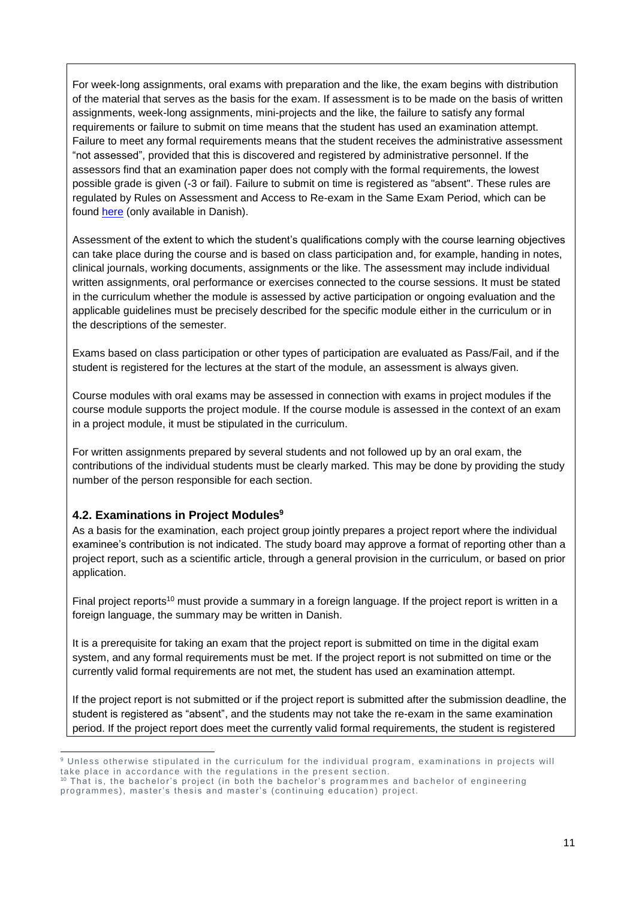For week-long assignments, oral exams with preparation and the like, the exam begins with distribution of the material that serves as the basis for the exam. If assessment is to be made on the basis of written assignments, week-long assignments, mini-projects and the like, the failure to satisfy any formal requirements or failure to submit on time means that the student has used an examination attempt. Failure to meet any formal requirements means that the student receives the administrative assessment "not assessed", provided that this is discovered and registered by administrative personnel. If the assessors find that an examination paper does not comply with the formal requirements, the lowest possible grade is given (-3 or fail). Failure to submit on time is registered as "absent". These rules are regulated by Rules on Assessment and Access to Re-exam in the Same Exam Period, which can be found [here](https://www.haandbog.aau.dk/dokument/?contentId=347766) (only available in Danish).

Assessment of the extent to which the student's qualifications comply with the course learning objectives can take place during the course and is based on class participation and, for example, handing in notes, clinical journals, working documents, assignments or the like. The assessment may include individual written assignments, oral performance or exercises connected to the course sessions. It must be stated in the curriculum whether the module is assessed by active participation or ongoing evaluation and the applicable guidelines must be precisely described for the specific module either in the curriculum or in the descriptions of the semester.

Exams based on class participation or other types of participation are evaluated as Pass/Fail, and if the student is registered for the lectures at the start of the module, an assessment is always given.

Course modules with oral exams may be assessed in connection with exams in project modules if the course module supports the project module. If the course module is assessed in the context of an exam in a project module, it must be stipulated in the curriculum.

For written assignments prepared by several students and not followed up by an oral exam, the contributions of the individual students must be clearly marked. This may be done by providing the study number of the person responsible for each section.

### <span id="page-10-0"></span>**4.2. Examinations in Project Modules<sup>9</sup>**

As a basis for the examination, each project group jointly prepares a project report where the individual examinee's contribution is not indicated. The study board may approve a format of reporting other than a project report, such as a scientific article, through a general provision in the curriculum, or based on prior application.

Final project reports<sup>10</sup> must provide a summary in a foreign language. If the project report is written in a foreign language, the summary may be written in Danish.

It is a prerequisite for taking an exam that the project report is submitted on time in the digital exam system, and any formal requirements must be met. If the project report is not submitted on time or the currently valid formal requirements are not met, the student has used an examination attempt.

If the project report is not submitted or if the project report is submitted after the submission deadline, the student is registered as "absent", and the students may not take the re-exam in the same examination period. If the project report does meet the currently valid formal requirements, the student is registered

<sup>-</sup> $9$  Unless otherwise stipulated in the curriculum for the individual program, examinations in projects will take place in accordance with the regulations in the present section.

 $10$  That is, the bachelor's project (in both the bachelor's programmes and bachelor of engineering programmes), master's thesis and master's (continuing education) project.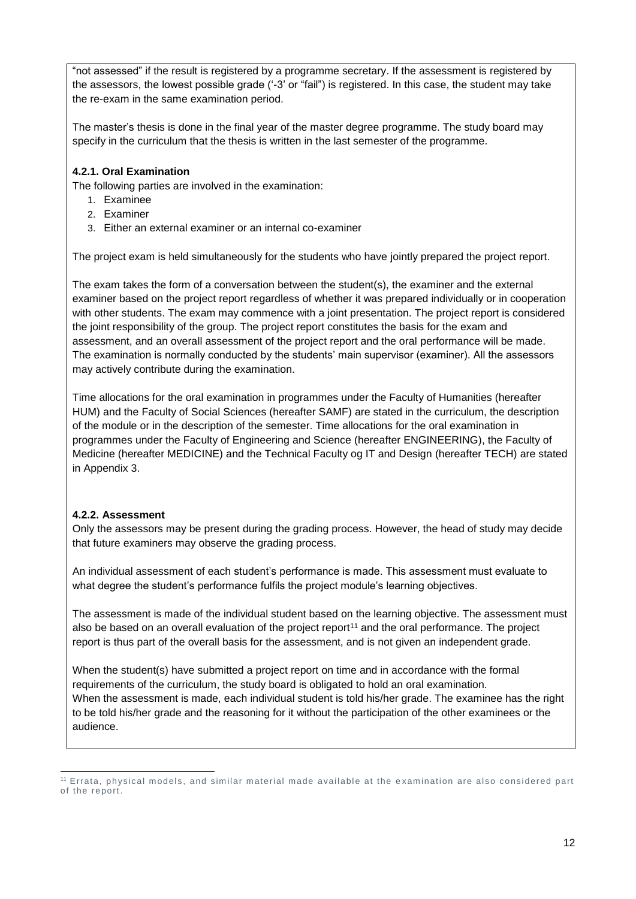"not assessed" if the result is registered by a programme secretary. If the assessment is registered by the assessors, the lowest possible grade ('-3' or "fail") is registered. In this case, the student may take the re-exam in the same examination period.

The master's thesis is done in the final year of the master degree programme. The study board may specify in the curriculum that the thesis is written in the last semester of the programme.

### <span id="page-11-0"></span>**4.2.1. Oral Examination**

The following parties are involved in the examination:

- 1. Examinee
- 2. Examiner
- 3. Either an external examiner or an internal co-examiner

The project exam is held simultaneously for the students who have jointly prepared the project report.

The exam takes the form of a conversation between the student(s), the examiner and the external examiner based on the project report regardless of whether it was prepared individually or in cooperation with other students. The exam may commence with a joint presentation. The project report is considered the joint responsibility of the group. The project report constitutes the basis for the exam and assessment, and an overall assessment of the project report and the oral performance will be made. The examination is normally conducted by the students' main supervisor (examiner). All the assessors may actively contribute during the examination.

Time allocations for the oral examination in programmes under the Faculty of Humanities (hereafter HUM) and the Faculty of Social Sciences (hereafter SAMF) are stated in the curriculum, the description of the module or in the description of the semester. Time allocations for the oral examination in programmes under the Faculty of Engineering and Science (hereafter ENGINEERING), the Faculty of Medicine (hereafter MEDICINE) and the Technical Faculty og IT and Design (hereafter TECH) are stated in Appendix 3.

#### <span id="page-11-1"></span>**4.2.2. Assessment**

Only the assessors may be present during the grading process. However, the head of study may decide that future examiners may observe the grading process.

An individual assessment of each student's performance is made. This assessment must evaluate to what degree the student's performance fulfils the project module's learning objectives.

The assessment is made of the individual student based on the learning objective. The assessment must also be based on an overall evaluation of the project report<sup>11</sup> and the oral performance. The project report is thus part of the overall basis for the assessment, and is not given an independent grade.

When the student(s) have submitted a project report on time and in accordance with the formal requirements of the curriculum, the study board is obligated to hold an oral examination. When the assessment is made, each individual student is told his/her grade. The examinee has the right to be told his/her grade and the reasoning for it without the participation of the other examinees or the audience.

<sup>-</sup><sup>11</sup> Errata, physical models, and similar material made available at the e xamination are also considered part of the report.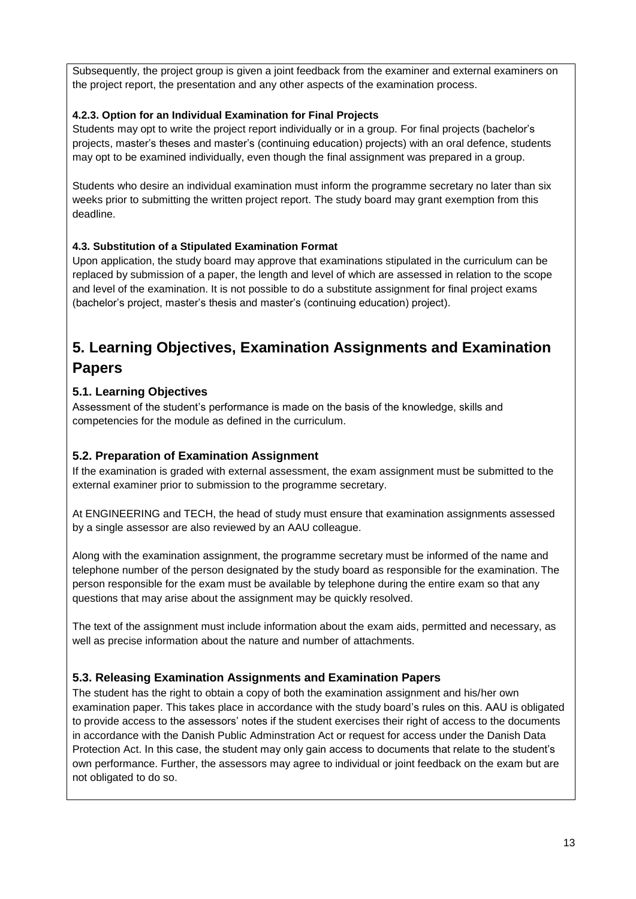Subsequently, the project group is given a joint feedback from the examiner and external examiners on the project report, the presentation and any other aspects of the examination process.

### <span id="page-12-0"></span>**4.2.3. Option for an Individual Examination for Final Projects**

Students may opt to write the project report individually or in a group. For final projects (bachelor's projects, master's theses and master's (continuing education) projects) with an oral defence, students may opt to be examined individually, even though the final assignment was prepared in a group.

Students who desire an individual examination must inform the programme secretary no later than six weeks prior to submitting the written project report. The study board may grant exemption from this deadline.

### <span id="page-12-1"></span>**4.3. Substitution of a Stipulated Examination Format**

Upon application, the study board may approve that examinations stipulated in the curriculum can be replaced by submission of a paper, the length and level of which are assessed in relation to the scope and level of the examination. It is not possible to do a substitute assignment for final project exams (bachelor's project, master's thesis and master's (continuing education) project).

# <span id="page-12-2"></span>**5. Learning Objectives, Examination Assignments and Examination Papers**

## <span id="page-12-3"></span>**5.1. Learning Objectives**

Assessment of the student's performance is made on the basis of the knowledge, skills and competencies for the module as defined in the curriculum.

### <span id="page-12-4"></span>**5.2. Preparation of Examination Assignment**

If the examination is graded with external assessment, the exam assignment must be submitted to the external examiner prior to submission to the programme secretary.

At ENGINEERING and TECH, the head of study must ensure that examination assignments assessed by a single assessor are also reviewed by an AAU colleague.

Along with the examination assignment, the programme secretary must be informed of the name and telephone number of the person designated by the study board as responsible for the examination. The person responsible for the exam must be available by telephone during the entire exam so that any questions that may arise about the assignment may be quickly resolved.

The text of the assignment must include information about the exam aids, permitted and necessary, as well as precise information about the nature and number of attachments.

### <span id="page-12-5"></span>**5.3. Releasing Examination Assignments and Examination Papers**

The student has the right to obtain a copy of both the examination assignment and his/her own examination paper. This takes place in accordance with the study board's rules on this. AAU is obligated to provide access to the assessors' notes if the student exercises their right of access to the documents in accordance with the Danish Public Adminstration Act or request for access under the Danish Data Protection Act. In this case, the student may only gain access to documents that relate to the student's own performance. Further, the assessors may agree to individual or joint feedback on the exam but are not obligated to do so.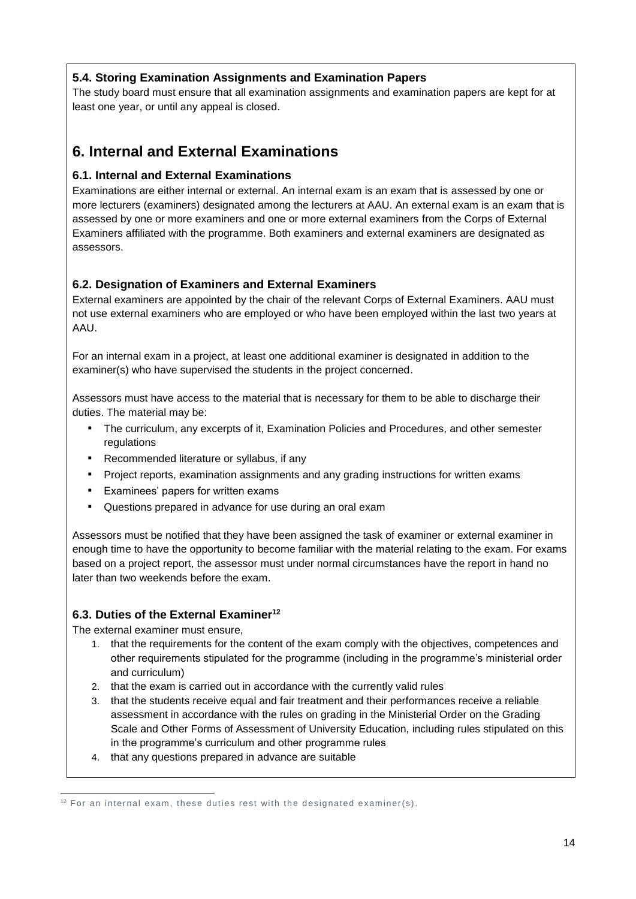## <span id="page-13-0"></span>**5.4. Storing Examination Assignments and Examination Papers**

The study board must ensure that all examination assignments and examination papers are kept for at least one year, or until any appeal is closed.

## <span id="page-13-1"></span>**6. Internal and External Examinations**

### <span id="page-13-2"></span>**6.1. Internal and External Examinations**

Examinations are either internal or external. An internal exam is an exam that is assessed by one or more lecturers (examiners) designated among the lecturers at AAU. An external exam is an exam that is assessed by one or more examiners and one or more external examiners from the Corps of External Examiners affiliated with the programme. Both examiners and external examiners are designated as assessors.

### <span id="page-13-3"></span>**6.2. Designation of Examiners and External Examiners**

External examiners are appointed by the chair of the relevant Corps of External Examiners. AAU must not use external examiners who are employed or who have been employed within the last two years at AAU.

For an internal exam in a project, at least one additional examiner is designated in addition to the examiner(s) who have supervised the students in the project concerned.

Assessors must have access to the material that is necessary for them to be able to discharge their duties. The material may be:

- The curriculum, any excerpts of it, Examination Policies and Procedures, and other semester regulations
- Recommended literature or syllabus, if any
- Project reports, examination assignments and any grading instructions for written exams
- Examinees' papers for written exams
- Questions prepared in advance for use during an oral exam

Assessors must be notified that they have been assigned the task of examiner or external examiner in enough time to have the opportunity to become familiar with the material relating to the exam. For exams based on a project report, the assessor must under normal circumstances have the report in hand no later than two weekends before the exam.

### <span id="page-13-4"></span>**6.3. Duties of the External Examiner<sup>12</sup>**

The external examiner must ensure,

- 1. that the requirements for the content of the exam comply with the objectives, competences and other requirements stipulated for the programme (including in the programme's ministerial order and curriculum)
- 2. that the exam is carried out in accordance with the currently valid rules
- 3. that the students receive equal and fair treatment and their performances receive a reliable assessment in accordance with the rules on grading in the Ministerial Order on the Grading Scale and Other Forms of Assessment of University Education, including rules stipulated on this in the programme's curriculum and other programme rules
- 4. that any questions prepared in advance are suitable

<sup>-</sup><sup>12</sup> For an internal exam, these duties rest with the designated examiner(s).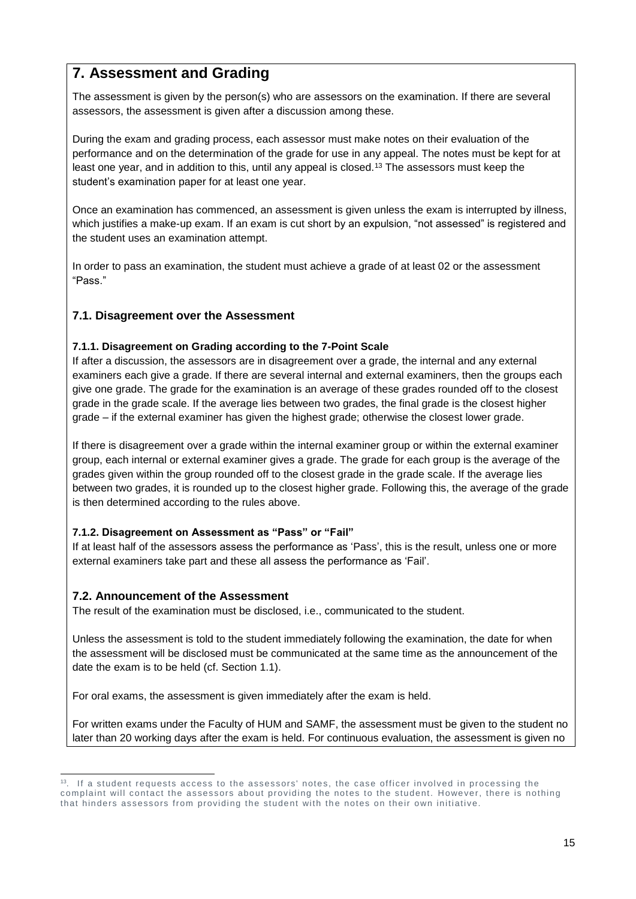# <span id="page-14-0"></span>**7. Assessment and Grading**

The assessment is given by the person(s) who are assessors on the examination. If there are several assessors, the assessment is given after a discussion among these.

During the exam and grading process, each assessor must make notes on their evaluation of the performance and on the determination of the grade for use in any appeal. The notes must be kept for at least one year, and in addition to this, until any appeal is closed.<sup>13</sup> The assessors must keep the student's examination paper for at least one year.

Once an examination has commenced, an assessment is given unless the exam is interrupted by illness, which justifies a make-up exam. If an exam is cut short by an expulsion, "not assessed" is registered and the student uses an examination attempt.

In order to pass an examination, the student must achieve a grade of at least 02 or the assessment "Pass."

### <span id="page-14-1"></span>**7.1. Disagreement over the Assessment**

### <span id="page-14-2"></span>**7.1.1. Disagreement on Grading according to the 7-Point Scale**

If after a discussion, the assessors are in disagreement over a grade, the internal and any external examiners each give a grade. If there are several internal and external examiners, then the groups each give one grade. The grade for the examination is an average of these grades rounded off to the closest grade in the grade scale. If the average lies between two grades, the final grade is the closest higher grade – if the external examiner has given the highest grade; otherwise the closest lower grade.

If there is disagreement over a grade within the internal examiner group or within the external examiner group, each internal or external examiner gives a grade. The grade for each group is the average of the grades given within the group rounded off to the closest grade in the grade scale. If the average lies between two grades, it is rounded up to the closest higher grade. Following this, the average of the grade is then determined according to the rules above.

### <span id="page-14-3"></span>**7.1.2. Disagreement on Assessment as "Pass" or "Fail"**

If at least half of the assessors assess the performance as 'Pass', this is the result, unless one or more external examiners take part and these all assess the performance as 'Fail'.

### <span id="page-14-4"></span>**7.2. Announcement of the Assessment**

The result of the examination must be disclosed, i.e., communicated to the student.

Unless the assessment is told to the student immediately following the examination, the date for when the assessment will be disclosed must be communicated at the same time as the announcement of the date the exam is to be held (cf. Section 1.1).

For oral exams, the assessment is given immediately after the exam is held.

For written exams under the Faculty of HUM and SAMF, the assessment must be given to the student no later than 20 working days after the exam is held. For continuous evaluation, the assessment is given no

<sup>-</sup><sup>13</sup>. If a student requests access to the assessors' notes, the case officer involved in processing the complaint will contact the assessors about providing the notes to the student. However, there is nothing that hinders assessors from providing the student with the notes on their own initiative.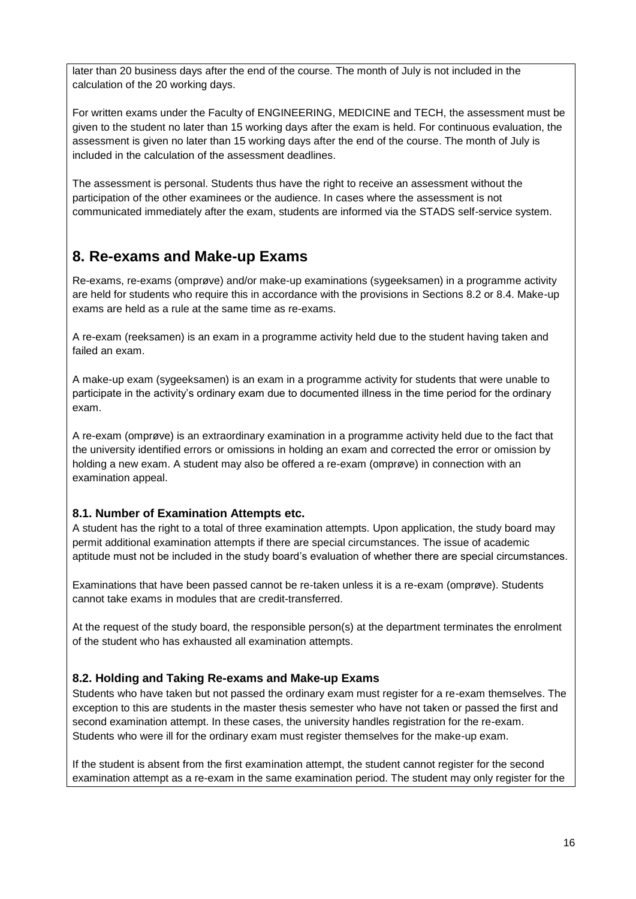later than 20 business days after the end of the course. The month of July is not included in the calculation of the 20 working days.

For written exams under the Faculty of ENGINEERING, MEDICINE and TECH, the assessment must be given to the student no later than 15 working days after the exam is held. For continuous evaluation, the assessment is given no later than 15 working days after the end of the course. The month of July is included in the calculation of the assessment deadlines.

The assessment is personal. Students thus have the right to receive an assessment without the participation of the other examinees or the audience. In cases where the assessment is not communicated immediately after the exam, students are informed via the STADS self-service system.

# <span id="page-15-0"></span>**8. Re-exams and Make-up Exams**

Re-exams, re-exams (omprøve) and/or make-up examinations (sygeeksamen) in a programme activity are held for students who require this in accordance with the provisions in Sections 8.2 or 8.4. Make-up exams are held as a rule at the same time as re-exams.

A re-exam (reeksamen) is an exam in a programme activity held due to the student having taken and failed an exam.

A make-up exam (sygeeksamen) is an exam in a programme activity for students that were unable to participate in the activity's ordinary exam due to documented illness in the time period for the ordinary exam.

A re-exam (omprøve) is an extraordinary examination in a programme activity held due to the fact that the university identified errors or omissions in holding an exam and corrected the error or omission by holding a new exam. A student may also be offered a re-exam (omprøve) in connection with an examination appeal.

### <span id="page-15-1"></span>**8.1. Number of Examination Attempts etc.**

A student has the right to a total of three examination attempts. Upon application, the study board may permit additional examination attempts if there are special circumstances. The issue of academic aptitude must not be included in the study board's evaluation of whether there are special circumstances.

Examinations that have been passed cannot be re-taken unless it is a re-exam (omprøve). Students cannot take exams in modules that are credit-transferred.

At the request of the study board, the responsible person(s) at the department terminates the enrolment of the student who has exhausted all examination attempts.

### <span id="page-15-2"></span>**8.2. Holding and Taking Re-exams and Make-up Exams**

Students who have taken but not passed the ordinary exam must register for a re-exam themselves. The exception to this are students in the master thesis semester who have not taken or passed the first and second examination attempt. In these cases, the university handles registration for the re-exam. Students who were ill for the ordinary exam must register themselves for the make-up exam.

If the student is absent from the first examination attempt, the student cannot register for the second examination attempt as a re-exam in the same examination period. The student may only register for the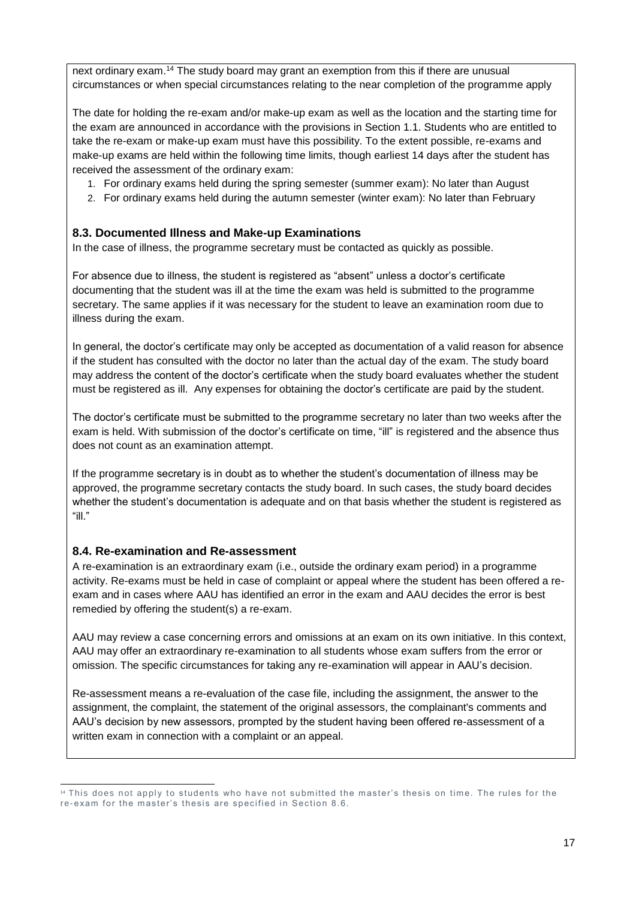next ordinary exam.<sup>14</sup> The study board may grant an exemption from this if there are unusual circumstances or when special circumstances relating to the near completion of the programme apply

The date for holding the re-exam and/or make-up exam as well as the location and the starting time for the exam are announced in accordance with the provisions in Section 1.1. Students who are entitled to take the re-exam or make-up exam must have this possibility. To the extent possible, re-exams and make-up exams are held within the following time limits, though earliest 14 days after the student has received the assessment of the ordinary exam:

- 1. For ordinary exams held during the spring semester (summer exam): No later than August
- 2. For ordinary exams held during the autumn semester (winter exam): No later than February

### <span id="page-16-0"></span>**8.3. Documented Illness and Make-up Examinations**

In the case of illness, the programme secretary must be contacted as quickly as possible.

For absence due to illness, the student is registered as "absent" unless a doctor's certificate documenting that the student was ill at the time the exam was held is submitted to the programme secretary. The same applies if it was necessary for the student to leave an examination room due to illness during the exam.

In general, the doctor's certificate may only be accepted as documentation of a valid reason for absence if the student has consulted with the doctor no later than the actual day of the exam. The study board may address the content of the doctor's certificate when the study board evaluates whether the student must be registered as ill. Any expenses for obtaining the doctor's certificate are paid by the student.

The doctor's certificate must be submitted to the programme secretary no later than two weeks after the exam is held. With submission of the doctor's certificate on time, "ill" is registered and the absence thus does not count as an examination attempt.

If the programme secretary is in doubt as to whether the student's documentation of illness may be approved, the programme secretary contacts the study board. In such cases, the study board decides whether the student's documentation is adequate and on that basis whether the student is registered as "ill."

### <span id="page-16-1"></span>**8.4. Re-examination and Re-assessment**

A re-examination is an extraordinary exam (i.e., outside the ordinary exam period) in a programme activity. Re-exams must be held in case of complaint or appeal where the student has been offered a reexam and in cases where AAU has identified an error in the exam and AAU decides the error is best remedied by offering the student(s) a re-exam.

AAU may review a case concerning errors and omissions at an exam on its own initiative. In this context, AAU may offer an extraordinary re-examination to all students whose exam suffers from the error or omission. The specific circumstances for taking any re-examination will appear in AAU's decision.

Re-assessment means a re-evaluation of the case file, including the assignment, the answer to the assignment, the complaint, the statement of the original assessors, the complainant's comments and AAU's decision by new assessors, prompted by the student having been offered re-assessment of a written exam in connection with a complaint or an appeal.

<sup>-</sup><sup>14</sup> This does not apply to students who have not submitted the master's thesis on time. The rules for the re-exam for the master's thesis are specified in Section 8.6.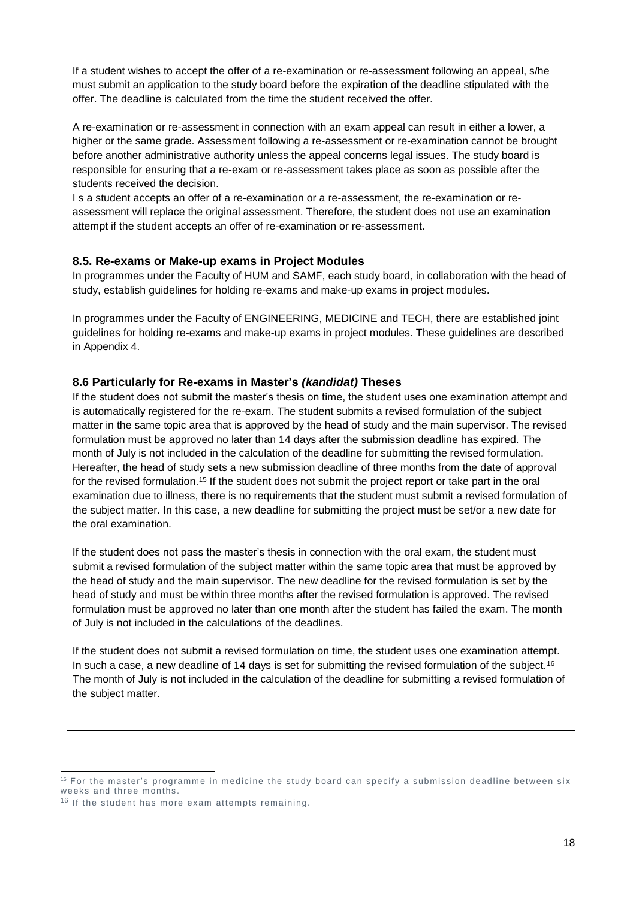If a student wishes to accept the offer of a re-examination or re-assessment following an appeal, s/he must submit an application to the study board before the expiration of the deadline stipulated with the offer. The deadline is calculated from the time the student received the offer.

A re-examination or re-assessment in connection with an exam appeal can result in either a lower, a higher or the same grade. Assessment following a re-assessment or re-examination cannot be brought before another administrative authority unless the appeal concerns legal issues. The study board is responsible for ensuring that a re-exam or re-assessment takes place as soon as possible after the students received the decision.

I s a student accepts an offer of a re-examination or a re-assessment, the re-examination or reassessment will replace the original assessment. Therefore, the student does not use an examination attempt if the student accepts an offer of re-examination or re-assessment.

### <span id="page-17-0"></span>**8.5. Re-exams or Make-up exams in Project Modules**

In programmes under the Faculty of HUM and SAMF, each study board, in collaboration with the head of study, establish guidelines for holding re-exams and make-up exams in project modules.

In programmes under the Faculty of ENGINEERING, MEDICINE and TECH, there are established joint guidelines for holding re-exams and make-up exams in project modules. These guidelines are described in Appendix 4.

### <span id="page-17-1"></span>**8.6 Particularly for Re-exams in Master's** *(kandidat)* **Theses**

If the student does not submit the master's thesis on time, the student uses one examination attempt and is automatically registered for the re-exam. The student submits a revised formulation of the subject matter in the same topic area that is approved by the head of study and the main supervisor. The revised formulation must be approved no later than 14 days after the submission deadline has expired. The month of July is not included in the calculation of the deadline for submitting the revised formulation. Hereafter, the head of study sets a new submission deadline of three months from the date of approval for the revised formulation.<sup>15</sup> If the student does not submit the project report or take part in the oral examination due to illness, there is no requirements that the student must submit a revised formulation of the subject matter. In this case, a new deadline for submitting the project must be set/or a new date for the oral examination.

If the student does not pass the master's thesis in connection with the oral exam, the student must submit a revised formulation of the subject matter within the same topic area that must be approved by the head of study and the main supervisor. The new deadline for the revised formulation is set by the head of study and must be within three months after the revised formulation is approved. The revised formulation must be approved no later than one month after the student has failed the exam. The month of July is not included in the calculations of the deadlines.

If the student does not submit a revised formulation on time, the student uses one examination attempt. In such a case, a new deadline of 14 days is set for submitting the revised formulation of the subject.<sup>16</sup> The month of July is not included in the calculation of the deadline for submitting a revised formulation of the subject matter.

-

<sup>&</sup>lt;sup>15</sup> For the master's programme in medicine the study board can specify a submission deadline between six weeks and three months.

<sup>&</sup>lt;sup>16</sup> If the student has more exam attempts remaining.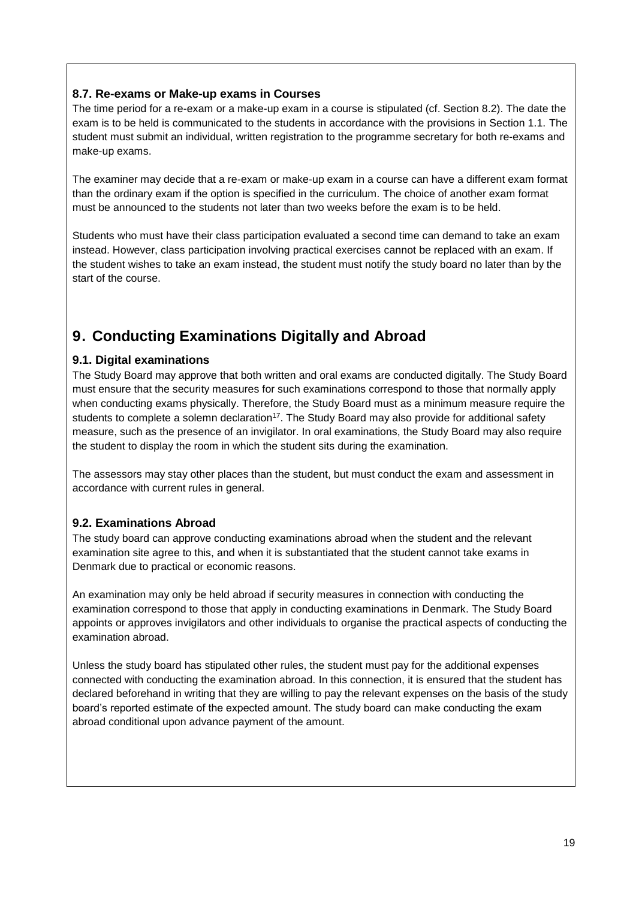### <span id="page-18-0"></span>**8.7. Re-exams or Make-up exams in Courses**

The time period for a re-exam or a make-up exam in a course is stipulated (cf. Section 8.2). The date the exam is to be held is communicated to the students in accordance with the provisions in Section 1.1. The student must submit an individual, written registration to the programme secretary for both re-exams and make-up exams.

The examiner may decide that a re-exam or make-up exam in a course can have a different exam format than the ordinary exam if the option is specified in the curriculum. The choice of another exam format must be announced to the students not later than two weeks before the exam is to be held.

Students who must have their class participation evaluated a second time can demand to take an exam instead. However, class participation involving practical exercises cannot be replaced with an exam. If the student wishes to take an exam instead, the student must notify the study board no later than by the start of the course.

# <span id="page-18-1"></span>**9. Conducting Examinations Digitally and Abroad**

### <span id="page-18-2"></span>**9.1. Digital examinations**

The Study Board may approve that both written and oral exams are conducted digitally. The Study Board must ensure that the security measures for such examinations correspond to those that normally apply when conducting exams physically. Therefore, the Study Board must as a minimum measure require the students to complete a solemn declaration<sup>17</sup>. The Study Board may also provide for additional safety measure, such as the presence of an invigilator. In oral examinations, the Study Board may also require the student to display the room in which the student sits during the examination.

The assessors may stay other places than the student, but must conduct the exam and assessment in accordance with current rules in general.

### <span id="page-18-3"></span>**9.2. Examinations Abroad**

The study board can approve conducting examinations abroad when the student and the relevant examination site agree to this, and when it is substantiated that the student cannot take exams in Denmark due to practical or economic reasons.

An examination may only be held abroad if security measures in connection with conducting the examination correspond to those that apply in conducting examinations in Denmark. The Study Board appoints or approves invigilators and other individuals to organise the practical aspects of conducting the examination abroad.

Unless the study board has stipulated other rules, the student must pay for the additional expenses connected with conducting the examination abroad. In this connection, it is ensured that the student has declared beforehand in writing that they are willing to pay the relevant expenses on the basis of the study board's reported estimate of the expected amount. The study board can make conducting the exam abroad conditional upon advance payment of the amount.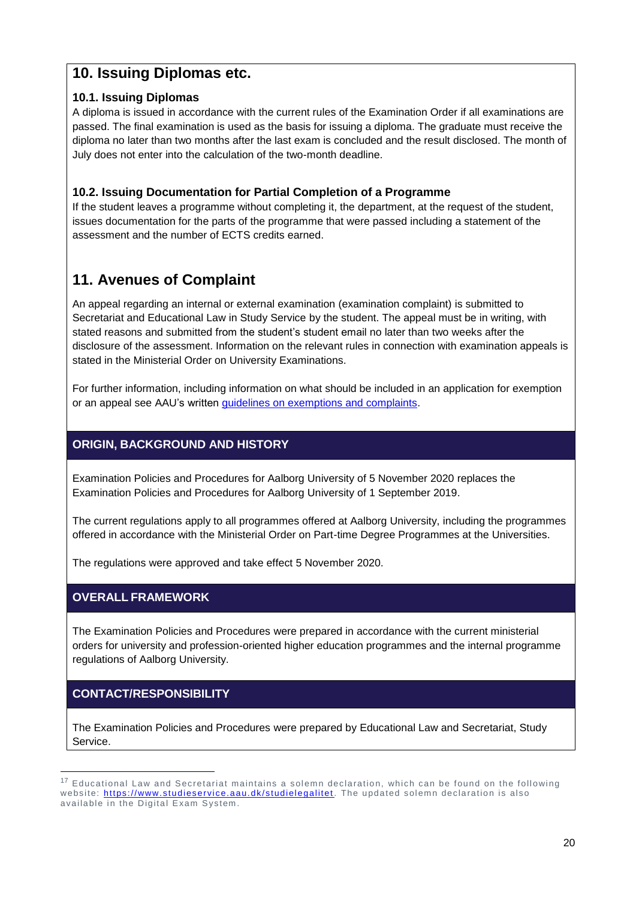## <span id="page-19-0"></span>**10. Issuing Diplomas etc.**

### <span id="page-19-1"></span>**10.1. Issuing Diplomas**

A diploma is issued in accordance with the current rules of the Examination Order if all examinations are passed. The final examination is used as the basis for issuing a diploma. The graduate must receive the diploma no later than two months after the last exam is concluded and the result disclosed. The month of July does not enter into the calculation of the two-month deadline.

## <span id="page-19-2"></span>**10.2. Issuing Documentation for Partial Completion of a Programme**

If the student leaves a programme without completing it, the department, at the request of the student, issues documentation for the parts of the programme that were passed including a statement of the assessment and the number of ECTS credits earned.

# <span id="page-19-3"></span>**11. Avenues of Complaint**

An appeal regarding an internal or external examination (examination complaint) is submitted to Secretariat and Educational Law in Study Service by the student. The appeal must be in writing, with stated reasons and submitted from the student's student email no later than two weeks after the disclosure of the assessment. Information on the relevant rules in connection with examination appeals is stated in the Ministerial Order on University Examinations.

For further information, including information on what should be included in an application for exemption or an appeal see AAU's written *guidelines on exemptions and complaints*.

## <span id="page-19-4"></span>**ORIGIN, BACKGROUND AND HISTORY**

Examination Policies and Procedures for Aalborg University of 5 November 2020 replaces the Examination Policies and Procedures for Aalborg University of 1 September 2019.

The current regulations apply to all programmes offered at Aalborg University, including the programmes offered in accordance with the Ministerial Order on Part-time Degree Programmes at the Universities.

The regulations were approved and take effect 5 November 2020.

## <span id="page-19-5"></span>**OVERALL FRAMEWORK**

The Examination Policies and Procedures were prepared in accordance with the current ministerial orders for university and profession-oriented higher education programmes and the internal programme regulations of Aalborg University.

## <span id="page-19-6"></span>**CONTACT/RESPONSIBILITY**

-

The Examination Policies and Procedures were prepared by Educational Law and Secretariat, Study Service.

<sup>&</sup>lt;sup>17</sup> Educational Law and Secretariat maintains a solemn declaration, which can be found on the following website:<https://www.studieservice.aau.dk/studielegalitet>. The updated solemn declaration is also available in the Digital Exam System.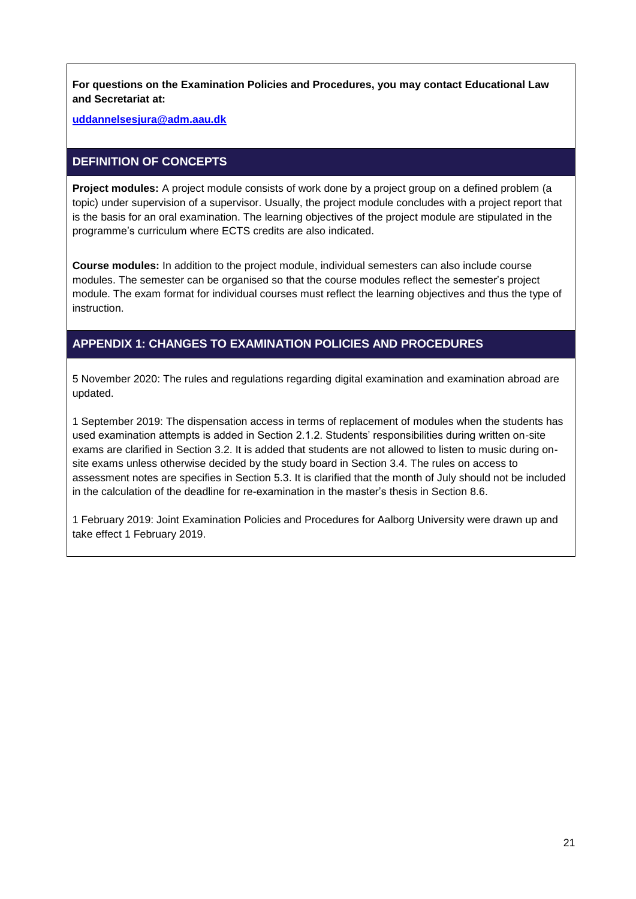**For questions on the Examination Policies and Procedures, you may contact Educational Law and Secretariat at:**

**[uddannelsesjura@adm.aau.dk](mailto:uddannelsesjura@adm.aau.dk)**

### <span id="page-20-0"></span>**DEFINITION OF CONCEPTS**

**Project modules:** A project module consists of work done by a project group on a defined problem (a topic) under supervision of a supervisor. Usually, the project module concludes with a project report that is the basis for an oral examination. The learning objectives of the project module are stipulated in the programme's curriculum where ECTS credits are also indicated.

**Course modules:** In addition to the project module, individual semesters can also include course modules. The semester can be organised so that the course modules reflect the semester's project module. The exam format for individual courses must reflect the learning objectives and thus the type of instruction.

### <span id="page-20-1"></span>**APPENDIX 1: CHANGES TO EXAMINATION POLICIES AND PROCEDURES**

5 November 2020: The rules and regulations regarding digital examination and examination abroad are updated.

1 September 2019: The dispensation access in terms of replacement of modules when the students has used examination attempts is added in Section 2.1.2. Students' responsibilities during written on-site exams are clarified in Section 3.2. It is added that students are not allowed to listen to music during onsite exams unless otherwise decided by the study board in Section 3.4. The rules on access to assessment notes are specifies in Section 5.3. It is clarified that the month of July should not be included in the calculation of the deadline for re-examination in the master's thesis in Section 8.6.

1 February 2019: Joint Examination Policies and Procedures for Aalborg University were drawn up and take effect 1 February 2019.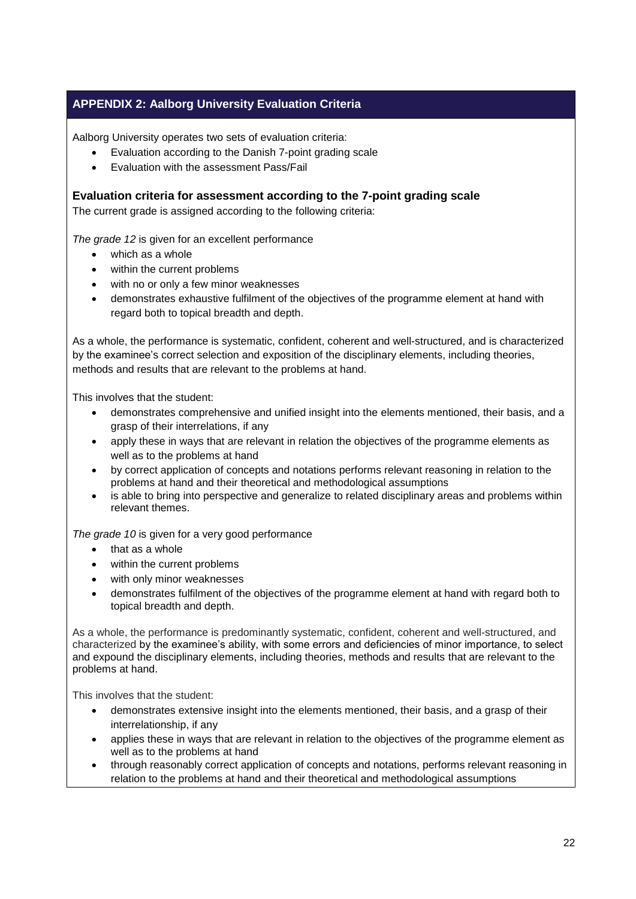## <span id="page-21-0"></span>**APPENDIX 2: Aalborg University Evaluation Criteria**

Aalborg University operates two sets of evaluation criteria:

- Evaluation according to the Danish 7-point grading scale
- Evaluation with the assessment Pass/Fail

**Evaluation criteria for assessment according to the 7-point grading scale**

The current grade is assigned according to the following criteria:

*The grade 12* is given for an excellent performance

- which as a whole
- within the current problems
- with no or only a few minor weaknesses
- demonstrates exhaustive fulfilment of the objectives of the programme element at hand with regard both to topical breadth and depth.

As a whole, the performance is systematic, confident, coherent and well-structured, and is characterized by the examinee's correct selection and exposition of the disciplinary elements, including theories, methods and results that are relevant to the problems at hand.

This involves that the student:

- demonstrates comprehensive and unified insight into the elements mentioned, their basis, and a grasp of their interrelations, if any
- apply these in ways that are relevant in relation the objectives of the programme elements as well as to the problems at hand
- by correct application of concepts and notations performs relevant reasoning in relation to the problems at hand and their theoretical and methodological assumptions
- is able to bring into perspective and generalize to related disciplinary areas and problems within relevant themes.

*The grade 10* is given for a very good performance

- $\bullet$  that as a whole
- within the current problems
- with only minor weaknesses
- demonstrates fulfilment of the objectives of the programme element at hand with regard both to topical breadth and depth.

As a whole, the performance is predominantly systematic, confident, coherent and well-structured, and characterized by the examinee's ability, with some errors and deficiencies of minor importance, to select and expound the disciplinary elements, including theories, methods and results that are relevant to the problems at hand.

This involves that the student:

- demonstrates extensive insight into the elements mentioned, their basis, and a grasp of their interrelationship, if any
- applies these in ways that are relevant in relation to the objectives of the programme element as well as to the problems at hand
- through reasonably correct application of concepts and notations, performs relevant reasoning in relation to the problems at hand and their theoretical and methodological assumptions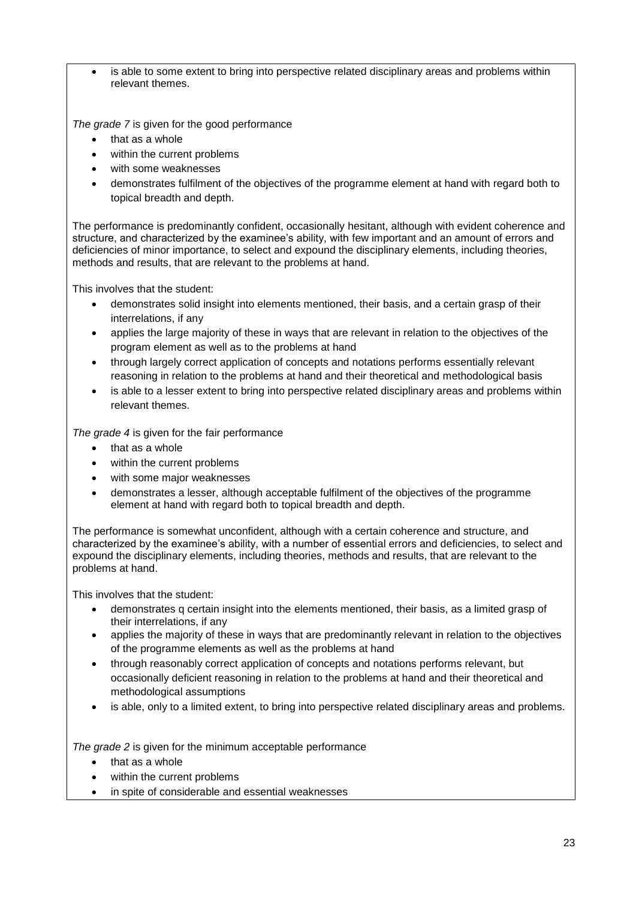is able to some extent to bring into perspective related disciplinary areas and problems within relevant themes.

*The grade 7* is given for the good performance

- that as a whole
- within the current problems
- with some weaknesses
- demonstrates fulfilment of the objectives of the programme element at hand with regard both to topical breadth and depth.

The performance is predominantly confident, occasionally hesitant, although with evident coherence and structure, and characterized by the examinee's ability, with few important and an amount of errors and deficiencies of minor importance, to select and expound the disciplinary elements, including theories, methods and results, that are relevant to the problems at hand.

This involves that the student:

- demonstrates solid insight into elements mentioned, their basis, and a certain grasp of their interrelations, if any
- applies the large majority of these in ways that are relevant in relation to the objectives of the program element as well as to the problems at hand
- through largely correct application of concepts and notations performs essentially relevant reasoning in relation to the problems at hand and their theoretical and methodological basis
- is able to a lesser extent to bring into perspective related disciplinary areas and problems within relevant themes.

*The grade 4* is given for the fair performance

- that as a whole
- within the current problems
- with some major weaknesses
- demonstrates a lesser, although acceptable fulfilment of the objectives of the programme element at hand with regard both to topical breadth and depth.

The performance is somewhat unconfident, although with a certain coherence and structure, and characterized by the examinee's ability, with a number of essential errors and deficiencies, to select and expound the disciplinary elements, including theories, methods and results, that are relevant to the problems at hand.

This involves that the student:

- demonstrates q certain insight into the elements mentioned, their basis, as a limited grasp of their interrelations, if any
- applies the majority of these in ways that are predominantly relevant in relation to the objectives of the programme elements as well as the problems at hand
- through reasonably correct application of concepts and notations performs relevant, but occasionally deficient reasoning in relation to the problems at hand and their theoretical and methodological assumptions
- is able, only to a limited extent, to bring into perspective related disciplinary areas and problems.

*The grade 2* is given for the minimum acceptable performance

- $\bullet$  that as a whole
- within the current problems
- in spite of considerable and essential weaknesses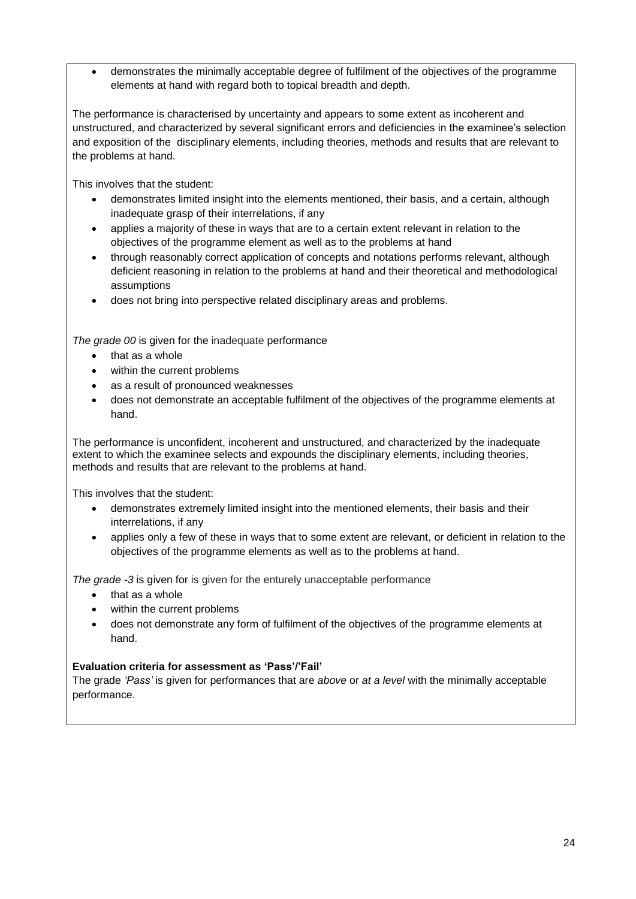demonstrates the minimally acceptable degree of fulfilment of the objectives of the programme elements at hand with regard both to topical breadth and depth.

The performance is characterised by uncertainty and appears to some extent as incoherent and unstructured, and characterized by several significant errors and deficiencies in the examinee's selection and exposition of the disciplinary elements, including theories, methods and results that are relevant to the problems at hand.

This involves that the student:

- demonstrates limited insight into the elements mentioned, their basis, and a certain, although inadequate grasp of their interrelations, if any
- applies a majority of these in ways that are to a certain extent relevant in relation to the objectives of the programme element as well as to the problems at hand
- through reasonably correct application of concepts and notations performs relevant, although deficient reasoning in relation to the problems at hand and their theoretical and methodological assumptions
- does not bring into perspective related disciplinary areas and problems.

*The grade 00* is given for the inadequate performance

- that as a whole
- within the current problems
- as a result of pronounced weaknesses
- does not demonstrate an acceptable fulfilment of the objectives of the programme elements at hand.

The performance is unconfident, incoherent and unstructured, and characterized by the inadequate extent to which the examinee selects and expounds the disciplinary elements, including theories, methods and results that are relevant to the problems at hand.

This involves that the student:

- demonstrates extremely limited insight into the mentioned elements, their basis and their interrelations, if any
- applies only a few of these in ways that to some extent are relevant, or deficient in relation to the objectives of the programme elements as well as to the problems at hand.

*The grade -3* is given for is given for the enturely unacceptable performance

- that as a whole
	- within the current problems
- does not demonstrate any form of fulfilment of the objectives of the programme elements at hand.

#### **Evaluation criteria for assessment as 'Pass'/'Fail'**

The grade *'Pass'* is given for performances that are *above* or *at a level* with the minimally acceptable performance.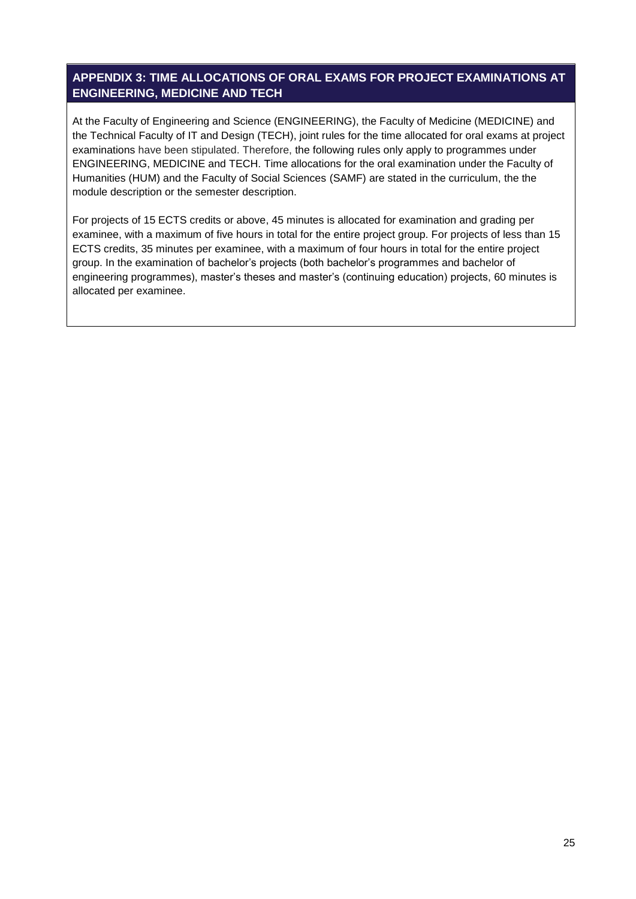### <span id="page-24-0"></span>**APPENDIX 3: TIME ALLOCATIONS OF ORAL EXAMS FOR PROJECT EXAMINATIONS AT ENGINEERING, MEDICINE AND TECH**

At the Faculty of Engineering and Science (ENGINEERING), the Faculty of Medicine (MEDICINE) and the Technical Faculty of IT and Design (TECH), joint rules for the time allocated for oral exams at project examinations have been stipulated. Therefore, the following rules only apply to programmes under ENGINEERING, MEDICINE and TECH. Time allocations for the oral examination under the Faculty of Humanities (HUM) and the Faculty of Social Sciences (SAMF) are stated in the curriculum, the the module description or the semester description.

For projects of 15 ECTS credits or above, 45 minutes is allocated for examination and grading per examinee, with a maximum of five hours in total for the entire project group. For projects of less than 15 ECTS credits, 35 minutes per examinee, with a maximum of four hours in total for the entire project group. In the examination of bachelor's projects (both bachelor's programmes and bachelor of engineering programmes), master's theses and master's (continuing education) projects, 60 minutes is allocated per examinee.